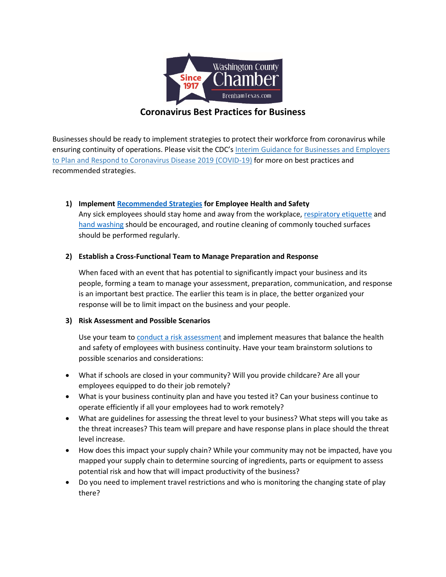

# **Coronavirus Best Practices for Business**

Businesses should be ready to implement strategies to protect their workforce from coronavirus while ensuring continuity of operations. Please visit the CDC's [Interim Guidance for Businesses and Employers](https://www.cdc.gov/coronavirus/2019-ncov/specific-groups/guidance-business-response.html?CDC_AA_refVal=https%3A%2F%2Fwww.cdc.gov%2Fcoronavirus%2F2019-ncov%2Fguidance-business-response.html)  [to Plan and Respond to Coronavirus Disease 2019 \(COVID-19\)](https://www.cdc.gov/coronavirus/2019-ncov/specific-groups/guidance-business-response.html?CDC_AA_refVal=https%3A%2F%2Fwww.cdc.gov%2Fcoronavirus%2F2019-ncov%2Fguidance-business-response.html) for more on best practices and recommended strategies.

## **1) Implemen[t Recommended Strategies](https://www.cdc.gov/coronavirus/2019-ncov/community/guidance-business-response.html?CDC_AA_refVal=https%3A%2F%2Fwww.cdc.gov%2Fcoronavirus%2F2019-ncov%2Fspecific-groups%2Fguidance-business-response.html) for Employee Health and Safety**

Any sick employees should stay home and away from the workplace[, respiratory etiquette](http://www.cdc.gov/healthywater/hygiene/etiquette/coughing_sneezing.html) and [hand washing](https://www.cdc.gov/handwashing/index.html) should be encouraged, and routine cleaning of commonly touched surfaces should be performed regularly.

### **2) Establish a Cross-Functional Team to Manage Preparation and Response**

When faced with an event that has potential to significantly impact your business and its people, forming a team to manage your assessment, preparation, communication, and response is an important best practice. The earlier this team is in place, the better organized your response will be to limit impact on the business and your people.

#### **3) Risk Assessment and Possible Scenarios**

Use your team to [conduct a risk assessment](https://www.cdc.gov/coronavirus/2019-ncov/php/risk-assessment.html) and implement measures that balance the health and safety of employees with business continuity. Have your team brainstorm solutions to possible scenarios and considerations:

- What if schools are closed in your community? Will you provide childcare? Are all your employees equipped to do their job remotely?
- What is your business continuity plan and have you tested it? Can your business continue to operate efficiently if all your employees had to work remotely?
- What are guidelines for assessing the threat level to your business? What steps will you take as the threat increases? This team will prepare and have response plans in place should the threat level increase.
- How does this impact your supply chain? While your community may not be impacted, have you mapped your supply chain to determine sourcing of ingredients, parts or equipment to assess potential risk and how that will impact productivity of the business?
- Do you need to implement travel restrictions and who is monitoring the changing state of play there?